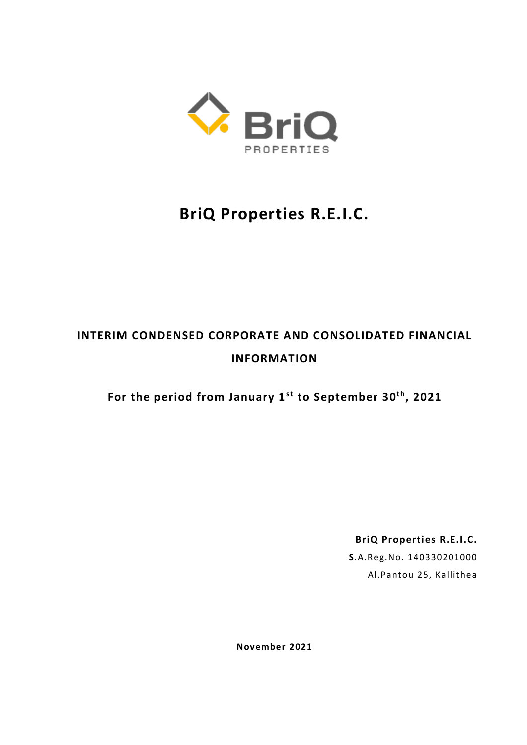

# **BriQ Properties R.E.I.C.**

# **INTERIM CONDENSED CORPORATE AND CONSOLIDATED FINANCIAL INFORMATION**

**For the period from January 1st to September 30t h, 2021**

**BriQ Properties R.E.I.C.**

**S**.A.Reg.No. 140330201000 Al.Pantou 25, Kallithea

**November 2021**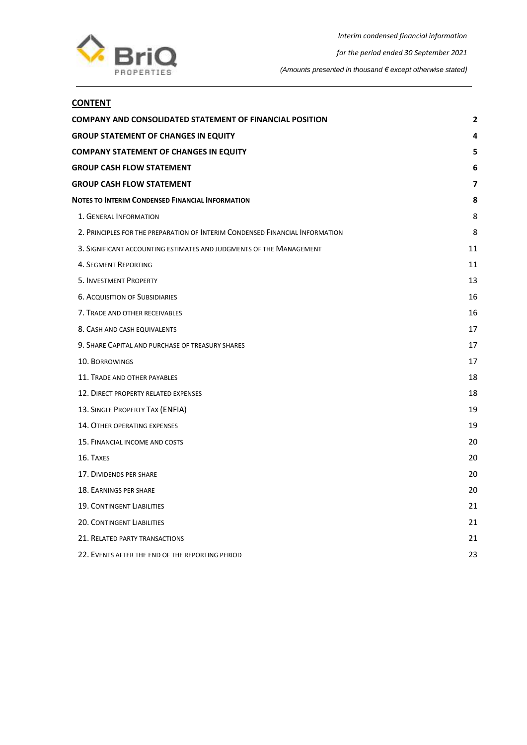

## **CONTENT**

| COMPANY AND CONSOLIDATED STATEMENT OF FINANCIAL POSITION                     | $\mathbf{2}$ |
|------------------------------------------------------------------------------|--------------|
| <b>GROUP STATEMENT OF CHANGES IN EQUITY</b>                                  | 4            |
| <b>COMPANY STATEMENT OF CHANGES IN EQUITY</b>                                | 5            |
| <b>GROUP CASH FLOW STATEMENT</b>                                             | 6            |
| <b>GROUP CASH FLOW STATEMENT</b>                                             | 7            |
| <b>NOTES TO INTERIM CONDENSED FINANCIAL INFORMATION</b>                      | 8            |
| 1. GENERAL INFORMATION                                                       | 8            |
| 2. PRINCIPLES FOR THE PREPARATION OF INTERIM CONDENSED FINANCIAL INFORMATION | 8            |
| 3. SIGNIFICANT ACCOUNTING ESTIMATES AND JUDGMENTS OF THE MANAGEMENT          | 11           |
| <b>4. SEGMENT REPORTING</b>                                                  | 11           |
| 5. INVESTMENT PROPERTY                                                       | 13           |
| <b>6. ACQUISITION OF SUBSIDIARIES</b>                                        | 16           |
| 7. TRADE AND OTHER RECEIVABLES                                               | 16           |
| 8. CASH AND CASH EQUIVALENTS                                                 | 17           |
| 9. SHARE CAPITAL AND PURCHASE OF TREASURY SHARES                             | 17           |
| <b>10. BORROWINGS</b>                                                        | 17           |
| 11. TRADE AND OTHER PAYABLES                                                 | 18           |
| 12. DIRECT PROPERTY RELATED EXPENSES                                         | 18           |
| 13. SINGLE PROPERTY TAX (ENFIA)                                              | 19           |
| <b>14. OTHER OPERATING EXPENSES</b>                                          | 19           |
| 15. FINANCIAL INCOME AND COSTS                                               | 20           |
| 16. TAXES                                                                    | 20           |
| 17. DIVIDENDS PER SHARE                                                      | 20           |
| 18. EARNINGS PER SHARE                                                       | 20           |
| <b>19. CONTINGENT LIABILITIES</b>                                            | 21           |
| <b>20. CONTINGENT LIABILITIES</b>                                            | 21           |
| 21. RELATED PARTY TRANSACTIONS                                               | 21           |
| 22. EVENTS AFTER THE END OF THE REPORTING PERIOD                             | 23           |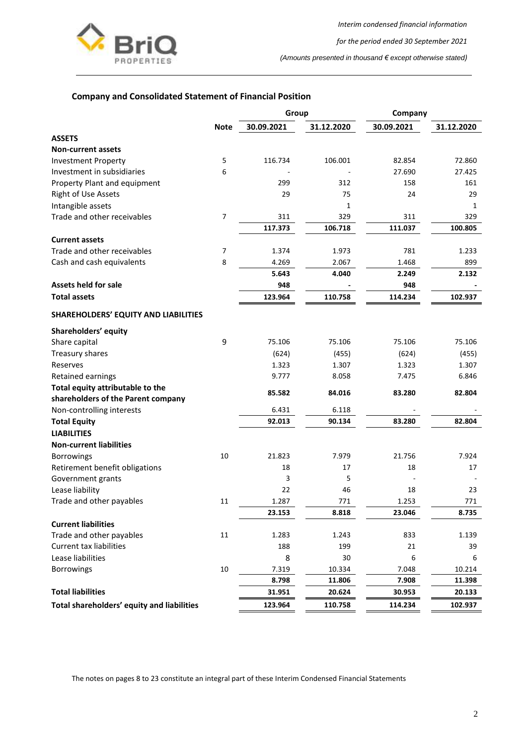

*for the period ended 30 September 2021*

*(Amounts presented in thousand € except otherwise stated)*

## <span id="page-2-0"></span>**Company and Consolidated Statement of Financial Position**

|                                             | Group          |            |              | Company    |            |
|---------------------------------------------|----------------|------------|--------------|------------|------------|
|                                             | <b>Note</b>    | 30.09.2021 | 31.12.2020   | 30.09.2021 | 31.12.2020 |
| <b>ASSETS</b>                               |                |            |              |            |            |
| <b>Non-current assets</b>                   |                |            |              |            |            |
| <b>Investment Property</b>                  | 5              | 116.734    | 106.001      | 82.854     | 72.860     |
| Investment in subsidiaries                  | 6              |            |              | 27.690     | 27.425     |
| Property Plant and equipment                |                | 299        | 312          | 158        | 161        |
| <b>Right of Use Assets</b>                  |                | 29         | 75           | 24         | 29         |
| Intangible assets                           |                |            | $\mathbf{1}$ |            | 1          |
| Trade and other receivables                 | $\overline{7}$ | 311        | 329          | 311        | 329        |
|                                             |                | 117.373    | 106.718      | 111.037    | 100.805    |
| <b>Current assets</b>                       |                |            |              |            |            |
| Trade and other receivables                 | $\overline{7}$ | 1.374      | 1.973        | 781        | 1.233      |
| Cash and cash equivalents                   | 8              | 4.269      | 2.067        | 1.468      | 899        |
|                                             |                | 5.643      | 4.040        | 2.249      | 2.132      |
| <b>Assets held for sale</b>                 |                | 948        |              | 948        |            |
| <b>Total assets</b>                         |                | 123.964    | 110.758      | 114.234    | 102.937    |
| <b>SHAREHOLDERS' EQUITY AND LIABILITIES</b> |                |            |              |            |            |
| Shareholders' equity                        |                |            |              |            |            |
| Share capital                               | 9              | 75.106     | 75.106       | 75.106     | 75.106     |
| Treasury shares                             |                | (624)      | (455)        | (624)      | (455)      |
| Reserves                                    |                | 1.323      | 1.307        | 1.323      | 1.307      |
| Retained earnings                           |                | 9.777      | 8.058        | 7.475      | 6.846      |
| Total equity attributable to the            |                | 85.582     | 84.016       | 83.280     | 82.804     |
| shareholders of the Parent company          |                |            |              |            |            |
| Non-controlling interests                   |                | 6.431      | 6.118        |            |            |
| <b>Total Equity</b>                         |                | 92.013     | 90.134       | 83.280     | 82.804     |
| <b>LIABILITIES</b>                          |                |            |              |            |            |
| <b>Non-current liabilities</b>              |                |            |              |            |            |
| <b>Borrowings</b>                           | 10             | 21.823     | 7.979        | 21.756     | 7.924      |
| Retirement benefit obligations              |                | 18         | 17           | 18         | 17         |
| Government grants                           |                | 3          | 5            |            |            |
| Lease liability                             |                | 22         | 46           | 18         | 23         |
| Trade and other payables                    | 11             | 1.287      | 771          | 1.253      | 771        |
|                                             |                | 23.153     | 8.818        | 23.046     | 8.735      |
| <b>Current liabilities</b>                  |                |            |              |            |            |
| Trade and other payables                    | 11             | 1.283      | 1.243        | 833        | 1.139      |
| <b>Current tax liabilities</b>              |                | 188        | 199          | 21         | 39         |
| Lease liabilities                           |                | 8          | 30           | 6          | 6          |
| <b>Borrowings</b>                           | 10             | 7.319      | 10.334       | 7.048      | 10.214     |
|                                             |                | 8.798      | 11.806       | 7.908      | 11.398     |
| <b>Total liabilities</b>                    |                | 31.951     | 20.624       | 30.953     | 20.133     |
| Total shareholders' equity and liabilities  |                | 123.964    | 110.758      | 114.234    | 102.937    |

The notes on pages 8 to 23 constitute an integral part of these Interim Condensed Financial Statements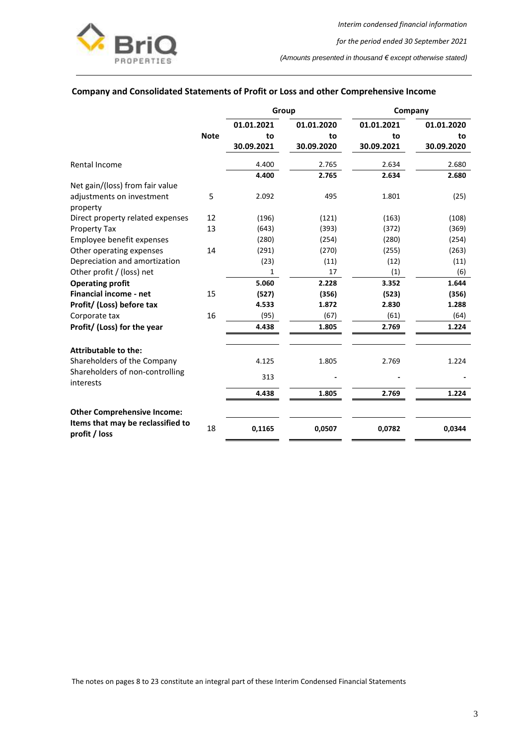

## **Company and Consolidated Statements of Profit or Loss and other Comprehensive Income**

|                                                    |             | Group      |            | Company    |            |  |
|----------------------------------------------------|-------------|------------|------------|------------|------------|--|
|                                                    |             | 01.01.2021 | 01.01.2020 | 01.01.2021 | 01.01.2020 |  |
|                                                    | <b>Note</b> | to         | to         | to         | to         |  |
|                                                    |             | 30.09.2021 | 30.09.2020 | 30.09.2021 | 30.09.2020 |  |
| Rental Income                                      |             | 4.400      | 2.765      | 2.634      | 2.680      |  |
|                                                    |             | 4.400      | 2.765      | 2.634      | 2.680      |  |
| Net gain/(loss) from fair value                    |             |            |            |            |            |  |
| adjustments on investment<br>property              | 5           | 2.092      | 495        | 1.801      | (25)       |  |
| Direct property related expenses                   | 12          | (196)      | (121)      | (163)      | (108)      |  |
| Property Tax                                       | 13          | (643)      | (393)      | (372)      | (369)      |  |
| Employee benefit expenses                          |             | (280)      | (254)      | (280)      | (254)      |  |
| Other operating expenses                           | 14          | (291)      | (270)      | (255)      | (263)      |  |
| Depreciation and amortization                      |             | (23)       | (11)       | (12)       | (11)       |  |
| Other profit / (loss) net                          |             | 1          | 17         | (1)        | (6)        |  |
| <b>Operating profit</b>                            |             | 5.060      | 2.228      | 3.352      | 1.644      |  |
| <b>Financial income - net</b>                      | 15          | (527)      | (356)      | (523)      | (356)      |  |
| Profit/ (Loss) before tax                          |             | 4.533      | 1.872      | 2.830      | 1.288      |  |
| Corporate tax                                      | 16          | (95)       | (67)       | (61)       | (64)       |  |
| Profit/ (Loss) for the year                        |             | 4.438      | 1.805      | 2.769      | 1.224      |  |
| Attributable to the:                               |             |            |            |            |            |  |
| Shareholders of the Company                        |             | 4.125      | 1.805      | 2.769      | 1.224      |  |
| Shareholders of non-controlling<br>interests       |             | 313        |            |            |            |  |
|                                                    |             | 4.438      | 1.805      | 2.769      | 1.224      |  |
| <b>Other Comprehensive Income:</b>                 |             |            |            |            |            |  |
| Items that may be reclassified to<br>profit / loss | 18          | 0,1165     | 0,0507     | 0,0782     | 0,0344     |  |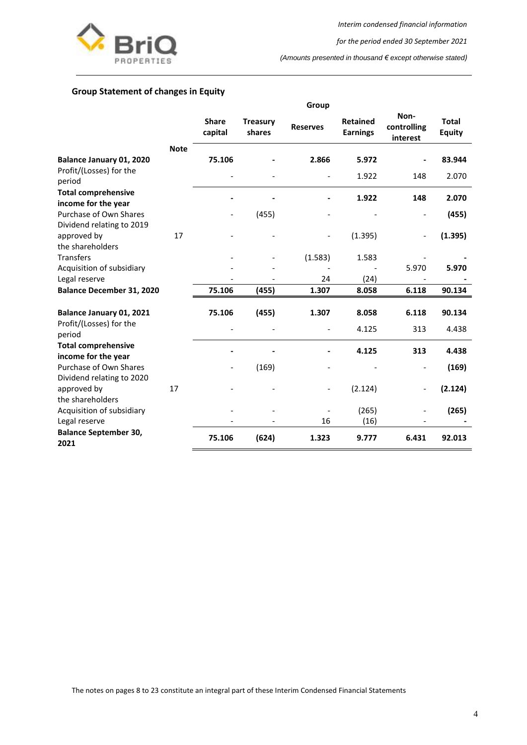

*for the period ended 30 September 2021*

*(Amounts presented in thousand € except otherwise stated)*

## <span id="page-4-0"></span>**Group Statement of changes in Equity**

|                                                     |             |                          |                           | Group           |                                    |                                 |                               |
|-----------------------------------------------------|-------------|--------------------------|---------------------------|-----------------|------------------------------------|---------------------------------|-------------------------------|
|                                                     |             | <b>Share</b><br>capital  | <b>Treasury</b><br>shares | <b>Reserves</b> | <b>Retained</b><br><b>Earnings</b> | Non-<br>controlling<br>interest | <b>Total</b><br><b>Equity</b> |
|                                                     | <b>Note</b> |                          |                           |                 |                                    |                                 |                               |
| Balance January 01, 2020                            |             | 75.106                   |                           | 2.866           | 5.972                              |                                 | 83.944                        |
| Profit/(Losses) for the<br>period                   |             |                          |                           |                 | 1.922                              | 148                             | 2.070                         |
| <b>Total comprehensive</b><br>income for the year   |             |                          |                           |                 | 1.922                              | 148                             | 2.070                         |
| Purchase of Own Shares<br>Dividend relating to 2019 |             | $\overline{\phantom{0}}$ | (455)                     |                 |                                    | $\qquad \qquad -$               | (455)                         |
| approved by<br>the shareholders                     | 17          |                          |                           |                 | (1.395)                            | $\qquad \qquad \blacksquare$    | (1.395)                       |
| <b>Transfers</b>                                    |             |                          |                           | (1.583)         | 1.583                              |                                 |                               |
| Acquisition of subsidiary                           |             |                          |                           |                 |                                    | 5.970                           | 5.970                         |
| Legal reserve                                       |             |                          |                           | 24              | (24)                               |                                 |                               |
| <b>Balance December 31, 2020</b>                    |             | 75.106                   | (455)                     | 1.307           | 8.058                              | 6.118                           | 90.134                        |
| Balance January 01, 2021                            |             | 75.106                   | (455)                     | 1.307           | 8.058                              | 6.118                           | 90.134                        |
| Profit/(Losses) for the<br>period                   |             |                          |                           |                 | 4.125                              | 313                             | 4.438                         |
| <b>Total comprehensive</b><br>income for the year   |             |                          |                           |                 | 4.125                              | 313                             | 4.438                         |
| Purchase of Own Shares<br>Dividend relating to 2020 |             | $\overline{\phantom{0}}$ | (169)                     |                 |                                    | $\qquad \qquad \blacksquare$    | (169)                         |
| approved by<br>the shareholders                     | 17          |                          |                           |                 | (2.124)                            | $\qquad \qquad \blacksquare$    | (2.124)                       |
| Acquisition of subsidiary                           |             |                          |                           |                 | (265)                              | $\qquad \qquad -$               | (265)                         |
| Legal reserve                                       |             |                          |                           | 16              | (16)                               |                                 |                               |
| <b>Balance September 30,</b><br>2021                |             | 75.106                   | (624)                     | 1.323           | 9.777                              | 6.431                           | 92.013                        |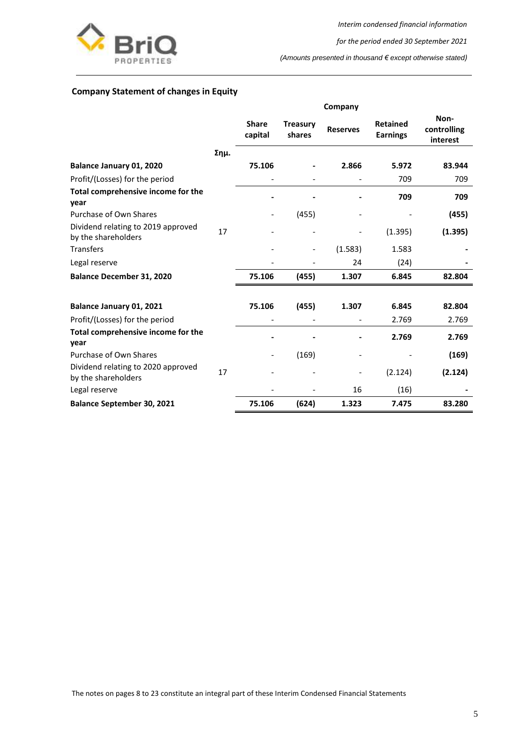

*for the period ended 30 September 2021*

*(Amounts presented in thousand € except otherwise stated)*

## <span id="page-5-0"></span>**Company Statement of changes in Equity**

|                                                           |      |                              |                           | Company         |                                    |                                 |
|-----------------------------------------------------------|------|------------------------------|---------------------------|-----------------|------------------------------------|---------------------------------|
|                                                           |      | <b>Share</b><br>capital      | <b>Treasury</b><br>shares | <b>Reserves</b> | <b>Retained</b><br><b>Earnings</b> | Non-<br>controlling<br>interest |
|                                                           | Σημ. |                              |                           |                 |                                    |                                 |
| Balance January 01, 2020                                  |      | 75.106                       |                           | 2.866           | 5.972                              | 83.944                          |
| Profit/(Losses) for the period                            |      | $\qquad \qquad \blacksquare$ | $\overline{\phantom{a}}$  |                 | 709                                | 709                             |
| Total comprehensive income for the<br>year                |      |                              |                           |                 | 709                                | 709                             |
| Purchase of Own Shares                                    |      | $\qquad \qquad \blacksquare$ | (455)                     |                 |                                    | (455)                           |
| Dividend relating to 2019 approved<br>by the shareholders | 17   |                              |                           |                 | (1.395)                            | (1.395)                         |
| <b>Transfers</b>                                          |      |                              | $\overline{\phantom{a}}$  | (1.583)         | 1.583                              |                                 |
| Legal reserve                                             |      |                              |                           | 24              | (24)                               |                                 |
| <b>Balance December 31, 2020</b>                          |      | 75.106                       | (455)                     | 1.307           | 6.845                              | 82.804                          |
| Balance January 01, 2021                                  |      | 75.106                       | (455)                     | 1.307           | 6.845                              | 82.804                          |
| Profit/(Losses) for the period                            |      |                              |                           |                 | 2.769                              | 2.769                           |
| Total comprehensive income for the<br>year                |      |                              |                           |                 | 2.769                              | 2.769                           |
| Purchase of Own Shares                                    |      |                              | (169)                     |                 |                                    | (169)                           |
| Dividend relating to 2020 approved<br>by the shareholders | 17   |                              |                           |                 | (2.124)                            | (2.124)                         |
| Legal reserve                                             |      |                              |                           | 16              | (16)                               |                                 |
| <b>Balance September 30, 2021</b>                         |      | 75.106                       | (624)                     | 1.323           | 7.475                              | 83.280                          |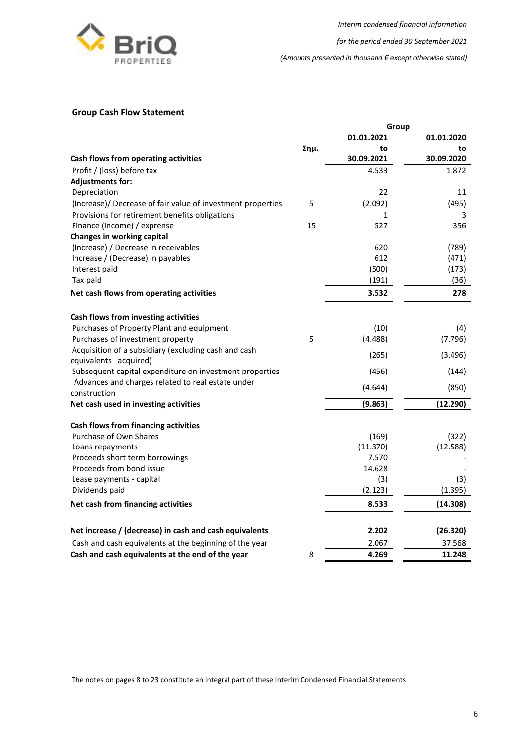

*for the period ended 30 September 2021*

*(Amounts presented in thousand € except otherwise stated)*

## <span id="page-6-0"></span>**Group Cash Flow Statement**

|                                                             |      | Group      |            |
|-------------------------------------------------------------|------|------------|------------|
|                                                             |      | 01.01.2021 | 01.01.2020 |
|                                                             | Σημ. | to         | to         |
| Cash flows from operating activities                        |      | 30.09.2021 | 30.09.2020 |
| Profit / (loss) before tax                                  |      | 4.533      | 1.872      |
| <b>Adjustments for:</b>                                     |      |            |            |
| Depreciation                                                |      | 22         | 11         |
| (Increase)/ Decrease of fair value of investment properties | 5    | (2.092)    | (495)      |
| Provisions for retirement benefits obligations              |      | 1          | 3          |
| Finance (income) / exprense                                 | 15   | 527        | 356        |
| <b>Changes in working capital</b>                           |      |            |            |
| (Increase) / Decrease in receivables                        |      | 620        | (789)      |
| Increase / (Decrease) in payables                           |      | 612        | (471)      |
| Interest paid                                               |      | (500)      | (173)      |
| Tax paid                                                    |      | (191)      | (36)       |
| Net cash flows from operating activities                    |      | 3.532      | 278        |
| Cash flows from investing activities                        |      |            |            |
| Purchases of Property Plant and equipment                   |      | (10)       | (4)        |
| Purchases of investment property                            | 5    | (4.488)    | (7.796)    |
| Acquisition of a subsidiary (excluding cash and cash        |      |            |            |
| equivalents acquired)                                       |      | (265)      | (3.496)    |
| Subsequent capital expenditure on investment properties     |      | (456)      | (144)      |
| Advances and charges related to real estate under           |      | (4.644)    | (850)      |
| construction                                                |      |            |            |
| Net cash used in investing activities                       |      | (9.863)    | (12.290)   |
| Cash flows from financing activities                        |      |            |            |
| Purchase of Own Shares                                      |      | (169)      | (322)      |
| Loans repayments                                            |      | (11.370)   | (12.588)   |
| Proceeds short term borrowings                              |      | 7.570      |            |
| Proceeds from bond issue                                    |      | 14.628     |            |
| Lease payments - capital                                    |      | (3)        | (3)        |
| Dividends paid                                              |      | (2.123)    | (1.395)    |
| Net cash from financing activities                          |      | 8.533      | (14.308)   |
| Net increase / (decrease) in cash and cash equivalents      |      | 2.202      | (26.320)   |
| Cash and cash equivalents at the beginning of the year      |      | 2.067      | 37.568     |
| Cash and cash equivalents at the end of the year            | 8    | 4.269      | 11.248     |
|                                                             |      |            |            |

The notes on pages 8 to 23 constitute an integral part of these Interim Condensed Financial Statements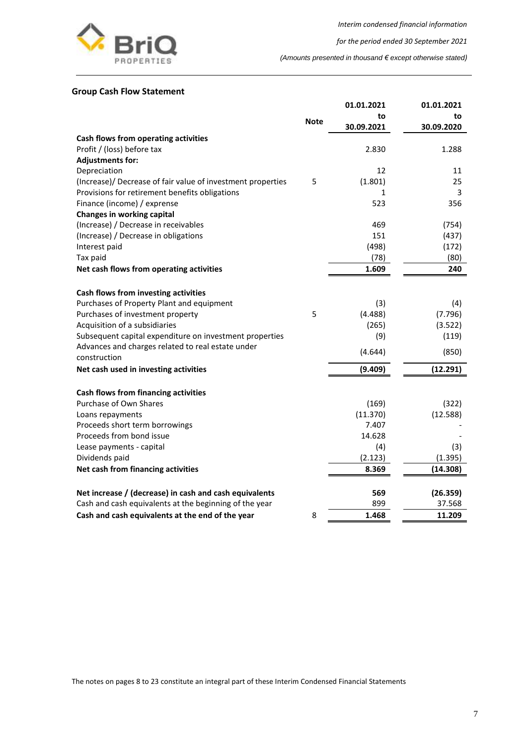

*for the period ended 30 September 2021*

*(Amounts presented in thousand € except otherwise stated)*

#### <span id="page-7-0"></span>**Group Cash Flow Statement**

|                                                             |             | 01.01.2021 | 01.01.2021 |
|-------------------------------------------------------------|-------------|------------|------------|
|                                                             | <b>Note</b> | to         | to         |
|                                                             |             | 30.09.2021 | 30.09.2020 |
| Cash flows from operating activities                        |             |            |            |
| Profit / (loss) before tax                                  |             | 2.830      | 1.288      |
| <b>Adjustments for:</b>                                     |             |            |            |
| Depreciation                                                |             | 12         | 11         |
| (Increase)/ Decrease of fair value of investment properties | 5           | (1.801)    | 25         |
| Provisions for retirement benefits obligations              |             | 1          | 3          |
| Finance (income) / exprense                                 |             | 523        | 356        |
| <b>Changes in working capital</b>                           |             |            |            |
| (Increase) / Decrease in receivables                        |             | 469        | (754)      |
| (Increase) / Decrease in obligations                        |             | 151        | (437)      |
| Interest paid                                               |             | (498)      | (172)      |
| Tax paid                                                    |             | (78)       | (80)       |
| Net cash flows from operating activities                    |             | 1.609      | 240        |
|                                                             |             |            |            |
| Cash flows from investing activities                        |             |            |            |
| Purchases of Property Plant and equipment                   |             | (3)        | (4)        |
| Purchases of investment property                            | 5           | (4.488)    | (7.796)    |
| Acquisition of a subsidiaries                               |             | (265)      | (3.522)    |
| Subsequent capital expenditure on investment properties     |             | (9)        | (119)      |
| Advances and charges related to real estate under           |             | (4.644)    | (850)      |
| construction                                                |             |            |            |
| Net cash used in investing activities                       |             | (9.409)    | (12.291)   |
|                                                             |             |            |            |
| Cash flows from financing activities                        |             |            |            |
| Purchase of Own Shares                                      |             | (169)      | (322)      |
| Loans repayments                                            |             | (11.370)   | (12.588)   |
| Proceeds short term borrowings                              |             | 7.407      |            |
| Proceeds from bond issue                                    |             | 14.628     |            |
| Lease payments - capital                                    |             | (4)        | (3)        |
| Dividends paid                                              |             | (2.123)    | (1.395)    |
| Net cash from financing activities                          |             | 8.369      | (14.308)   |
|                                                             |             |            |            |
| Net increase / (decrease) in cash and cash equivalents      |             | 569        | (26.359)   |
| Cash and cash equivalents at the beginning of the year      |             | 899        | 37.568     |
| Cash and cash equivalents at the end of the year            | 8           | 1.468      | 11.209     |

The notes on pages 8 to 23 constitute an integral part of these Interim Condensed Financial Statements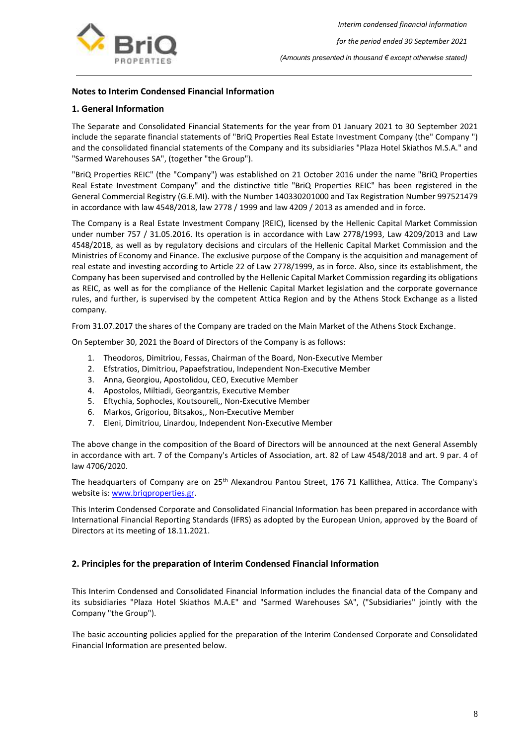

## <span id="page-8-0"></span>**Notes to Interim Condensed Financial Information**

## <span id="page-8-1"></span>**1. General Information**

The Separate and Consolidated Financial Statements for the year from 01 January 2021 to 30 September 2021 include the separate financial statements of "BriQ Properties Real Estate Investment Company (the" Company ") and the consolidated financial statements of the Company and its subsidiaries "Plaza Hotel Skiathos M.S.A." and "Sarmed Warehouses SA", (together "the Group").

"BriQ Properties REIC" (the "Company") was established on 21 October 2016 under the name "BriQ Properties Real Estate Investment Company" and the distinctive title "BriQ Properties REIC" has been registered in the General Commercial Registry (G.E.MI). with the Number 140330201000 and Tax Registration Number 997521479 in accordance with law 4548/2018, law 2778 / 1999 and law 4209 / 2013 as amended and in force.

The Company is a Real Estate Investment Company (REIC), licensed by the Hellenic Capital Market Commission under number 757 / 31.05.2016. Its operation is in accordance with Law 2778/1993, Law 4209/2013 and Law 4548/2018, as well as by regulatory decisions and circulars of the Hellenic Capital Market Commission and the Ministries of Economy and Finance. The exclusive purpose of the Company is the acquisition and management of real estate and investing according to Article 22 of Law 2778/1999, as in force. Also, since its establishment, the Company has been supervised and controlled by the Hellenic Capital Market Commission regarding its obligations as REIC, as well as for the compliance of the Hellenic Capital Market legislation and the corporate governance rules, and further, is supervised by the competent Attica Region and by the Athens Stock Exchange as a listed company.

From 31.07.2017 the shares of the Company are traded on the Main Market of the Athens Stock Exchange.

On September 30, 2021 the Board of Directors of the Company is as follows:

- 1. Theodoros, Dimitriou, Fessas, Chairman of the Board, Non-Executive Member
- 2. Efstratios, Dimitriou, Papaefstratiou, Independent Non-Executive Member
- 3. Anna, Georgiou, Apostolidou, CEO, Executive Member
- 4. Apostolos, Miltiadi, Georgantzis, Executive Member
- 5. Eftychia, Sophocles, Koutsoureli,, Non-Executive Member
- 6. Markos, Grigoriou, Bitsakos,, Non-Executive Member
- 7. Eleni, Dimitriou, Linardou, Independent Non-Executive Member

The above change in the composition of the Board of Directors will be announced at the next General Assembly in accordance with art. 7 of the Company's Articles of Association, art. 82 of Law 4548/2018 and art. 9 par. 4 of law 4706/2020.

The headquarters of Company are on 25<sup>th</sup> Alexandrou Pantou Street, 176 71 Kallithea, Attica. The Company's website is: www.brigproperties.gr.

This Interim Condensed Corporate and Consolidated Financial Information has been prepared in accordance with International Financial Reporting Standards (IFRS) as adopted by the European Union, approved by the Board of Directors at its meeting of 18.11.2021.

#### <span id="page-8-2"></span>**2. Principles for the preparation of Interim Condensed Financial Information**

This Interim Condensed and Consolidated Financial Information includes the financial data of the Company and its subsidiaries "Plaza Hotel Skiathos M.A.E" and "Sarmed Warehouses SA", ("Subsidiaries" jointly with the Company "the Group").

The basic accounting policies applied for the preparation of the Interim Condensed Corporate and Consolidated Financial Information are presented below.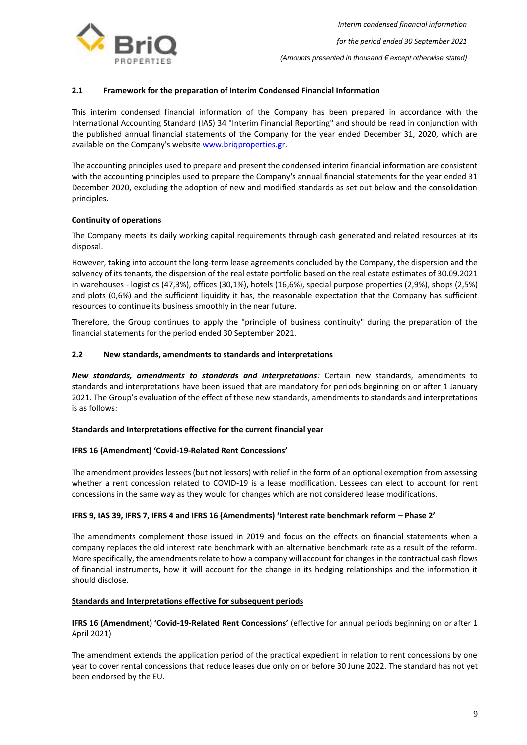

## **2.1 Framework for the preparation of Interim Condensed Financial Information**

This interim condensed financial information of the Company has been prepared in accordance with the International Accounting Standard (IAS) 34 "Interim Financial Reporting" and should be read in conjunction with the published annual financial statements of the Company for the year ended December 31, 2020, which are available on the Company's website www.brigproperties.gr.

The accounting principles used to prepare and present the condensed interim financial information are consistent with the accounting principles used to prepare the Company's annual financial statements for the year ended 31 December 2020, excluding the adoption of new and modified standards as set out below and the consolidation principles.

#### **Continuity of operations**

The Company meets its daily working capital requirements through cash generated and related resources at its disposal.

However, taking into account the long-term lease agreements concluded by the Company, the dispersion and the solvency of its tenants, the dispersion of the real estate portfolio based on the real estate estimates of 30.09.2021 in warehouses - logistics (47,3%), offices (30,1%), hotels (16,6%), special purpose properties (2,9%), shops (2,5%) and plots (0,6%) and the sufficient liquidity it has, the reasonable expectation that the Company has sufficient resources to continue its business smoothly in the near future.

Therefore, the Group continues to apply the "principle of business continuity" during the preparation of the financial statements for the period ended 30 September 2021.

#### **2.2 New standards, amendments to standards and interpretations**

*New standards, amendments to standards and interpretations:* Certain new standards, amendments to standards and interpretations have been issued that are mandatory for periods beginning on or after 1 January 2021. The Group's evaluation of the effect of these new standards, amendments to standards and interpretations is as follows:

#### **Standards and Interpretations effective for the current financial year**

#### **IFRS 16 (Amendment) 'Covid-19-Related Rent Concessions'**

The amendment provides lessees (but not lessors) with relief in the form of an optional exemption from assessing whether a rent concession related to COVID-19 is a lease modification. Lessees can elect to account for rent concessions in the same way as they would for changes which are not considered lease modifications.

#### **IFRS 9, IAS 39, IFRS 7, IFRS 4 and IFRS 16 (Amendments) 'Interest rate benchmark reform – Phase 2'**

The amendments complement those issued in 2019 and focus on the effects on financial statements when a company replaces the old interest rate benchmark with an alternative benchmark rate as a result of the reform. More specifically, the amendments relate to how a company will account for changes in the contractual cash flows of financial instruments, how it will account for the change in its hedging relationships and the information it should disclose.

#### **Standards and Interpretations effective for subsequent periods**

#### **IFRS 16 (Amendment) 'Covid-19-Related Rent Concessions'** (effective for annual periods beginning on or after 1 April 2021)

The amendment extends the application period of the practical expedient in relation to rent concessions by one year to cover rental concessions that reduce leases due only on or before 30 June 2022. The standard has not yet been endorsed by the EU.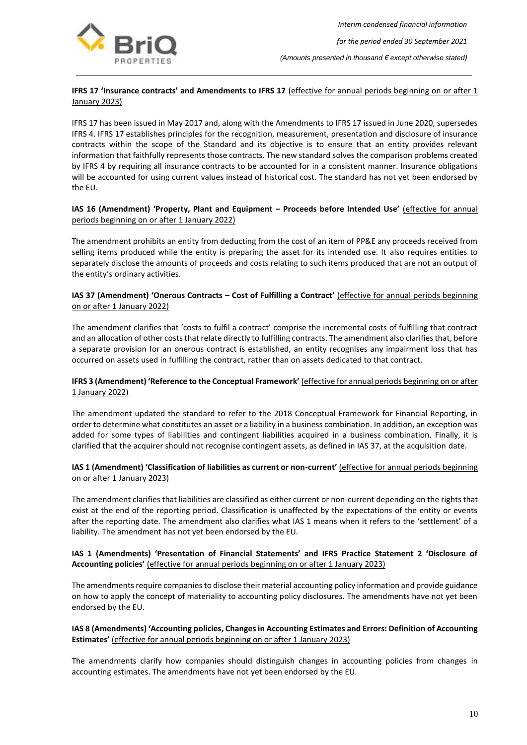

## **IFRS 17 'Insurance contracts' and Amendments to IFRS 17** (effective for annual periods beginning on or after 1 **January 2023)**

IFRS 17 has been issued in May 2017 and, along with the Amendments to IFRS 17 issued in June 2020, supersedes IFRS 4. IFRS 17 establishes principles for the recognition, measurement, presentation and disclosure of insurance contracts within the scope of the Standard and its objective is to ensure that an entity provides relevant information that faithfully represents those contracts. The new standard solves the comparison problems created by IFRS 4 by requiring all insurance contracts to be accounted for in a consistent manner. Insurance obligations will be accounted for using current values instead of historical cost. The standard has not yet been endorsed by the EU.

## **IAS 16 (Amendment) 'Property, Plant and Equipment – Proceeds before Intended Use'** (effective for annual periods beginning on or after 1 January 2022)

The amendment prohibits an entity from deducting from the cost of an item of PP&E any proceeds received from selling items produced while the entity is preparing the asset for its intended use. It also requires entities to separately disclose the amounts of proceeds and costs relating to such items produced that are not an output of the entity's ordinary activities.

## **IAS 37 (Amendment) 'Onerous Contracts – Cost of Fulfilling a Contract'** (effective for annual periods beginning on or after 1 January 2022)

The amendment clarifies that 'costs to fulfil a contract' comprise the incremental costs of fulfilling that contract and an allocation of other costs that relate directly to fulfilling contracts. The amendment also clarifies that, before a separate provision for an onerous contract is established, an entity recognises any impairment loss that has occurred on assets used in fulfilling the contract, rather than on assets dedicated to that contract.

#### **IFRS 3 (Amendment) 'Reference to the Conceptual Framework'** (effective for annual periods beginning on or after 1 January 2022)

The amendment updated the standard to refer to the 2018 Conceptual Framework for Financial Reporting, in order to determine what constitutes an asset or a liability in a business combination. In addition, an exception was added for some types of liabilities and contingent liabilities acquired in a business combination. Finally, it is clarified that the acquirer should not recognise contingent assets, as defined in IAS 37, at the acquisition date.

#### **IAS 1 (Amendment) 'Classification of liabilities as current or non-current'** (effective for annual periods beginning on or after 1 January 2023)

The amendment clarifies that liabilities are classified as either current or non-current depending on the rights that exist at the end of the reporting period. Classification is unaffected by the expectations of the entity or events after the reporting date. The amendment also clarifies what IAS 1 means when it refers to the 'settlement' of a liability. The amendment has not yet been endorsed by the EU.

#### **IAS 1 (Amendments) 'Presentation of Financial Statements' and IFRS Practice Statement 2 'Disclosure of Accounting policies'** (effective for annual periods beginning on or after 1 January 2023)

The amendments require companies to disclose their material accounting policy information and provide guidance on how to apply the concept of materiality to accounting policy disclosures. The amendments have not yet been endorsed by the EU.

## **IAS 8 (Amendments) 'Accounting policies, Changes in Accounting Estimates and Errors: Definition of Accounting Estimates'** (effective for annual periods beginning on or after 1 January 2023)

The amendments clarify how companies should distinguish changes in accounting policies from changes in accounting estimates. The amendments have not yet been endorsed by the EU.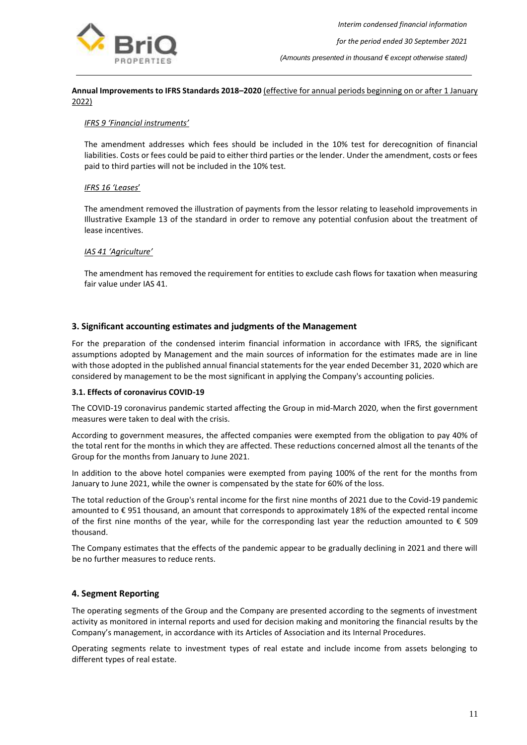

## **Annual Improvements to IFRS Standards 2018–2020** (effective for annual periods beginning on or after 1 January 2022)

#### *IFRS 9 'Financial instruments'*

The amendment addresses which fees should be included in the 10% test for derecognition of financial liabilities. Costs or fees could be paid to either third parties or the lender. Under the amendment, costs or fees paid to third parties will not be included in the 10% test.

#### *IFRS 16 'Leases*'

The amendment removed the illustration of payments from the lessor relating to leasehold improvements in Illustrative Example 13 of the standard in order to remove any potential confusion about the treatment of lease incentives.

#### *IAS 41 'Agriculture'*

The amendment has removed the requirement for entities to exclude cash flows for taxation when measuring fair value under IAS 41.

#### <span id="page-11-0"></span>**3. Significant accounting estimates and judgments of the Management**

For the preparation of the condensed interim financial information in accordance with IFRS, the significant assumptions adopted by Management and the main sources of information for the estimates made are in line with those adopted in the published annual financial statements for the year ended December 31, 2020 which are considered by management to be the most significant in applying the Company's accounting policies.

#### **3.1. Effects of coronavirus COVID-19**

The COVID-19 coronavirus pandemic started affecting the Group in mid-March 2020, when the first government measures were taken to deal with the crisis.

According to government measures, the affected companies were exempted from the obligation to pay 40% of the total rent for the months in which they are affected. These reductions concerned almost all the tenants of the Group for the months from January to June 2021.

In addition to the above hotel companies were exempted from paying 100% of the rent for the months from January to June 2021, while the owner is compensated by the state for 60% of the loss.

The total reduction of the Group's rental income for the first nine months of 2021 due to the Covid-19 pandemic amounted to € 951 thousand, an amount that corresponds to approximately 18% of the expected rental income of the first nine months of the year, while for the corresponding last year the reduction amounted to  $\epsilon$  509 thousand.

The Company estimates that the effects of the pandemic appear to be gradually declining in 2021 and there will be no further measures to reduce rents.

## <span id="page-11-1"></span>**4. Segment Reporting**

The operating segments of the Group and the Company are presented according to the segments of investment activity as monitored in internal reports and used for decision making and monitoring the financial results by the Company's management, in accordance with its Articles of Association and its Internal Procedures.

Operating segments relate to investment types of real estate and include income from assets belonging to different types of real estate.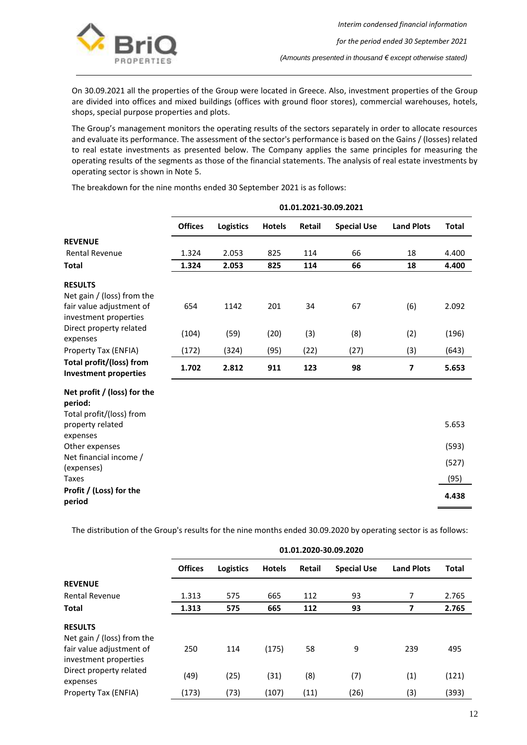

On 30.09.2021 all the properties of the Group were located in Greece. Also, investment properties of the Group are divided into offices and mixed buildings (offices with ground floor stores), commercial warehouses, hotels, shops, special purpose properties and plots.

The Group's management monitors the operating results of the sectors separately in order to allocate resources and evaluate its performance. The assessment of the sector's performance is based on the Gains / (losses) related to real estate investments as presented below. The Company applies the same principles for measuring the operating results of the segments as those of the financial statements. The analysis of real estate investments by operating sector is shown in Note 5.

**01.01.2021-30.09.2021 Offices Logistics Hotels Retail Special Use Land Plots Total REVENUE** Rental Revenue **1.324** 2.053 825 114 66 18 4.400 **Total 1.324 2.053 825 114 66 18 4.400 RESULTS** Net gain / (loss) from the fair value adjustment of investment properties 654 1142 201 34 67 (6) 2.092 Direct property related expenses (104) (59) (20) (3) (8) (2) (196) Property Tax (ENFIA) (172) (324) (95) (22) (27) (3) (643) **Total profit/(loss) from Investment properties 1.702 2.812 <sup>911</sup> <sup>123</sup> <sup>98</sup> <sup>7</sup> 5.653 Net profit / (loss) for the period:** Total profit/(loss) from property related expenses 5.653 Other expenses (593) Net financial income / expenses)<br>(expenses) (527) Taxes (95) **Profit / (Loss) for the period 4.438**

The breakdown for the nine months ended 30 September 2021 is as follows:

The distribution of the Group's results for the nine months ended 30.09.2020 by operating sector is as follows:

|                                                   |                | 01.01.2020-30.09.2020 |               |               |                    |                   |       |  |  |  |
|---------------------------------------------------|----------------|-----------------------|---------------|---------------|--------------------|-------------------|-------|--|--|--|
|                                                   | <b>Offices</b> | <b>Logistics</b>      | <b>Hotels</b> | <b>Retail</b> | <b>Special Use</b> | <b>Land Plots</b> | Total |  |  |  |
| <b>REVENUE</b>                                    |                |                       |               |               |                    |                   |       |  |  |  |
| <b>Rental Revenue</b>                             | 1.313          | 575                   | 665           | 112           | 93                 | 7                 | 2.765 |  |  |  |
| <b>Total</b>                                      | 1.313          | 575                   | 665           | 112           | 93                 | 7                 | 2.765 |  |  |  |
| <b>RESULTS</b><br>Net gain / (loss) from the      |                |                       |               |               |                    |                   |       |  |  |  |
| fair value adjustment of<br>investment properties | 250            | 114                   | (175)         | 58            | 9                  | 239               | 495   |  |  |  |
| Direct property related<br>expenses               | (49)           | (25)                  | (31)          | (8)           | (7)                | (1)               | (121) |  |  |  |
| Property Tax (ENFIA)                              | (173)          | (73)                  | (107)         | (11)          | (26)               | (3)               | (393) |  |  |  |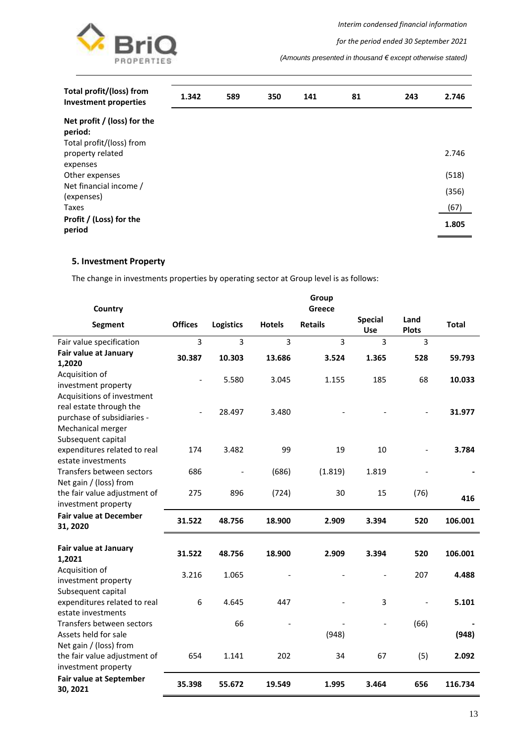



*for the period ended 30 September 2021*

*(Amounts presented in thousand € except otherwise stated)*

| Total profit/(loss) from<br><b>Investment properties</b> | 1.342 | 589 | 350 | 141 | 81 | 243 | 2.746 |
|----------------------------------------------------------|-------|-----|-----|-----|----|-----|-------|
| Net profit / (loss) for the<br>period:                   |       |     |     |     |    |     |       |
| Total profit/(loss) from<br>property related<br>expenses |       |     |     |     |    |     | 2.746 |
| Other expenses                                           |       |     |     |     |    |     | (518) |
| Net financial income /<br>(expenses)                     |       |     |     |     |    |     | (356) |
| Taxes                                                    |       |     |     |     |    |     | (67)  |
| Profit / (Loss) for the<br>period                        |       |     |     |     |    |     | 1.805 |

## <span id="page-13-0"></span>**5. Investment Property**

The change in investments properties by operating sector at Group level is as follows:

| Country                                                                     |                |                  |               | Group<br>Greece |                              |                      |              |
|-----------------------------------------------------------------------------|----------------|------------------|---------------|-----------------|------------------------------|----------------------|--------------|
| <b>Segment</b>                                                              | <b>Offices</b> | <b>Logistics</b> | <b>Hotels</b> | <b>Retails</b>  | <b>Special</b><br><b>Use</b> | Land<br><b>Plots</b> | <b>Total</b> |
| Fair value specification                                                    | 3              | 3                | 3             | 3               | 3                            | $\overline{3}$       |              |
| Fair value at January<br>1,2020                                             | 30.387         | 10.303           | 13.686        | 3.524           | 1.365                        | 528                  | 59.793       |
| Acquisition of<br>investment property<br>Acquisitions of investment         |                | 5.580            | 3.045         | 1.155           | 185                          | 68                   | 10.033       |
| real estate through the<br>purchase of subsidiaries -<br>Mechanical merger  |                | 28.497           | 3.480         |                 |                              |                      | 31.977       |
| Subsequent capital<br>expenditures related to real<br>estate investments    | 174            | 3.482            | 99            | 19              | 10                           |                      | 3.784        |
| Transfers between sectors<br>Net gain / (loss) from                         | 686            |                  | (686)         | (1.819)         | 1.819                        |                      |              |
| the fair value adjustment of<br>investment property                         | 275            | 896              | (724)         | 30              | 15                           | (76)                 | 416          |
| <b>Fair value at December</b><br>31, 2020                                   | 31.522         | 48.756           | 18.900        | 2.909           | 3.394                        | 520                  | 106.001      |
| Fair value at January<br>1,2021                                             | 31.522         | 48.756           | 18.900        | 2.909           | 3.394                        | 520                  | 106.001      |
| Acquisition of<br>investment property<br>Subsequent capital                 | 3.216          | 1.065            |               |                 |                              | 207                  | 4.488        |
| expenditures related to real<br>estate investments                          | 6              | 4.645            | 447           |                 | 3                            |                      | 5.101        |
| Transfers between sectors<br>Assets held for sale<br>Net gain / (loss) from |                | 66               |               | (948)           | $\blacksquare$               | (66)                 | (948)        |
| the fair value adjustment of<br>investment property                         | 654            | 1.141            | 202           | 34              | 67                           | (5)                  | 2.092        |
| <b>Fair value at September</b><br>30, 2021                                  | 35.398         | 55.672           | 19.549        | 1.995           | 3.464                        | 656                  | 116.734      |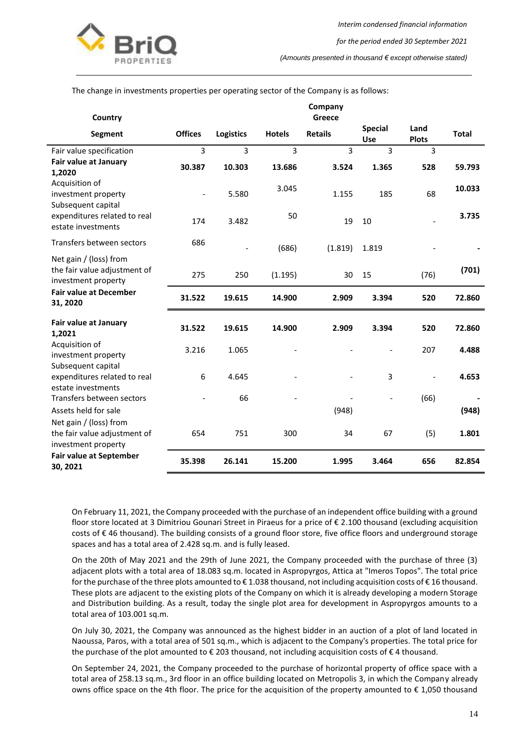

#### The change in investments properties per operating sector of the Company is as follows:

| Country                                                                       |                          |                  |               | Company<br>Greece |                       |                          |              |
|-------------------------------------------------------------------------------|--------------------------|------------------|---------------|-------------------|-----------------------|--------------------------|--------------|
| <b>Segment</b>                                                                | <b>Offices</b>           | <b>Logistics</b> | <b>Hotels</b> | <b>Retails</b>    | <b>Special</b><br>Use | Land<br><b>Plots</b>     | <b>Total</b> |
| Fair value specification                                                      | 3                        | 3                | 3             | 3                 | 3                     | 3                        |              |
| Fair value at January<br>1,2020                                               | 30.387                   | 10.303           | 13.686        | 3.524             | 1.365                 | 528                      | 59.793       |
| Acquisition of<br>investment property<br>Subsequent capital                   | $\overline{\phantom{a}}$ | 5.580            | 3.045         | 1.155             | 185                   | 68                       | 10.033       |
| expenditures related to real<br>estate investments                            | 174                      | 3.482            | 50            | 19                | 10                    |                          | 3.735        |
| Transfers between sectors                                                     | 686                      |                  | (686)         | (1.819)           | 1.819                 |                          |              |
| Net gain / (loss) from<br>the fair value adjustment of<br>investment property | 275                      | 250              | (1.195)       | 30                | 15                    | (76)                     | (701)        |
| <b>Fair value at December</b><br>31, 2020                                     | 31.522                   | 19.615           | 14.900        | 2.909             | 3.394                 | 520                      | 72.860       |
| Fair value at January<br>1,2021                                               | 31.522                   | 19.615           | 14.900        | 2.909             | 3.394                 | 520                      | 72.860       |
| Acquisition of<br>investment property<br>Subsequent capital                   | 3.216                    | 1.065            |               |                   |                       | 207                      | 4.488        |
| expenditures related to real<br>estate investments                            | 6                        | 4.645            |               |                   | 3                     | $\overline{\phantom{a}}$ | 4.653        |
| Transfers between sectors                                                     |                          | 66               |               |                   |                       | (66)                     |              |
| Assets held for sale                                                          |                          |                  |               | (948)             |                       |                          | (948)        |
| Net gain / (loss) from<br>the fair value adjustment of<br>investment property | 654                      | 751              | 300           | 34                | 67                    | (5)                      | 1.801        |
| <b>Fair value at September</b><br>30, 2021                                    | 35.398                   | 26.141           | 15.200        | 1.995             | 3.464                 | 656                      | 82.854       |

On February 11, 2021, the Company proceeded with the purchase of an independent office building with a ground floor store located at 3 Dimitriou Gounari Street in Piraeus for a price of € 2.100 thousand (excluding acquisition costs of € 46 thousand). The building consists of a ground floor store, five office floors and underground storage spaces and has a total area of 2.428 sq.m. and is fully leased.

On the 20th of May 2021 and the 29th of June 2021, the Company proceeded with the purchase of three (3) adjacent plots with a total area of 18.083 sq.m. located in Aspropyrgos, Attica at "Imeros Topos". The total price for the purchase of the three plots amounted to € 1.038 thousand, not including acquisition costs of € 16 thousand. These plots are adjacent to the existing plots of the Company on which it is already developing a modern Storage and Distribution building. As a result, today the single plot area for development in Aspropyrgos amounts to a total area of 103.001 sq.m.

On July 30, 2021, the Company was announced as the highest bidder in an auction of a plot of land located in Naoussa, Paros, with a total area of 501 sq.m., which is adjacent to the Company's properties. The total price for the purchase of the plot amounted to € 203 thousand, not including acquisition costs of € 4 thousand.

On September 24, 2021, the Company proceeded to the purchase of horizontal property of office space with a total area of 258.13 sq.m., 3rd floor in an office building located on Metropolis 3, in which the Company already owns office space on the 4th floor. The price for the acquisition of the property amounted to € 1,050 thousand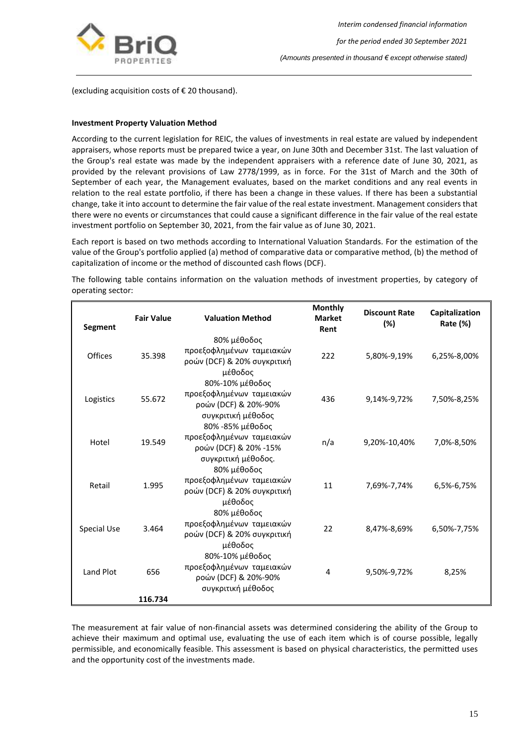

(excluding acquisition costs of € 20 thousand).

#### **Investment Property Valuation Method**

According to the current legislation for REIC, the values of investments in real estate are valued by independent appraisers, whose reports must be prepared twice a year, on June 30th and December 31st. The last valuation of the Group's real estate was made by the independent appraisers with a reference date of June 30, 2021, as provided by the relevant provisions of Law 2778/1999, as in force. For the 31st of March and the 30th of September of each year, the Management evaluates, based on the market conditions and any real events in relation to the real estate portfolio, if there has been a change in these values. If there has been a substantial change, take it into account to determine the fair value of the real estate investment. Management considers that there were no events or circumstances that could cause a significant difference in the fair value of the real estate investment portfolio on September 30, 2021, from the fair value as of June 30, 2021.

Each report is based on two methods according to International Valuation Standards. For the estimation of the value of the Group's portfolio applied (a) method of comparative data or comparative method, (b) the method of capitalization of income or the method of discounted cash flows (DCF).

The following table contains information on the valuation methods of investment properties, by category of operating sector:

| Segment     | <b>Fair Value</b> | <b>Valuation Method</b>                                                                                       | <b>Monthly</b><br><b>Market</b><br>Rent | <b>Discount Rate</b><br>(%) | Capitalization<br>Rate (%) |
|-------------|-------------------|---------------------------------------------------------------------------------------------------------------|-----------------------------------------|-----------------------------|----------------------------|
| Offices     | 35.398            | 80% μέθοδος<br>προεξοφλημένων ταμειακών<br>ροών (DCF) & 20% συγκριτική<br>μέθοδος                             | 222                                     | 5,80%-9,19%                 | 6,25%-8,00%                |
| Logistics   | 55.672            | 80%-10% μέθοδος<br>προεξοφλημένων ταμειακών<br>ροών (DCF) & 20%-90%<br>συγκριτική μέθοδος<br>80% -85% μέθοδος | 436                                     | 9,14%-9,72%                 | 7,50%-8,25%                |
| Hotel       | 19.549            | προεξοφλημένων ταμειακών<br>ροών (DCF) & 20% -15%<br>συγκριτική μέθοδος.                                      | n/a                                     | 9,20%-10,40%                | 7,0%-8,50%                 |
| Retail      | 1.995             | 80% μέθοδος<br>προεξοφλημένων ταμειακών<br>ροών (DCF) & 20% συγκριτική<br>μέθοδος                             | 11                                      | 7,69%-7,74%                 | 6,5%-6,75%                 |
| Special Use | 3.464             | 80% μέθοδος<br>προεξοφλημένων ταμειακών<br>ροών (DCF) & 20% συγκριτική<br>μέθοδος                             | 22                                      | 8,47%-8,69%                 | 6,50%-7,75%                |
| Land Plot   | 656               | 80%-10% μέθοδος<br>προεξοφλημένων ταμειακών<br>ροών (DCF) & 20%-90%<br>συγκριτική μέθοδος                     | 4                                       | 9,50%-9,72%                 | 8,25%                      |
|             | 116.734           |                                                                                                               |                                         |                             |                            |

The measurement at fair value of non-financial assets was determined considering the ability of the Group to achieve their maximum and optimal use, evaluating the use of each item which is of course possible, legally permissible, and economically feasible. This assessment is based on physical characteristics, the permitted uses and the opportunity cost of the investments made.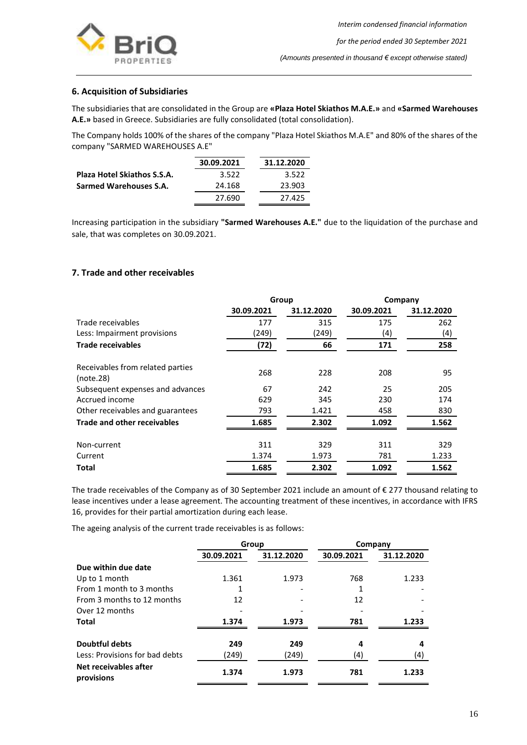

## <span id="page-16-0"></span>**6. Acquisition of Subsidiaries**

The subsidiaries that are consolidated in the Group are **«Plaza Hotel Skiathos M.A.E.»** and **«Sarmed Warehouses A.E.»** based in Greece. Subsidiaries are fully consolidated (total consolidation).

The Company holds 100% of the shares of the company "Plaza Hotel Skiathos M.A.E" and 80% of the shares of the company "SARMED WAREHOUSES A.E"

|                                    | 30.09.2021 | 31.12.2020 |
|------------------------------------|------------|------------|
| <b>Plaza Hotel Skiathos S.S.A.</b> | 3.522      | 3.522      |
| Sarmed Warehouses S.A.             | 24.168     | 23.903     |
|                                    | 27.690     | 27.425     |

Increasing participation in the subsidiary **"Sarmed Warehouses A.E."** due to the liquidation of the purchase and sale, that was completes on 30.09.2021.

## <span id="page-16-1"></span>**7. Trade and other receivables**

|                                               | Group      |            | Company    |            |
|-----------------------------------------------|------------|------------|------------|------------|
|                                               | 30.09.2021 | 31.12.2020 | 30.09.2021 | 31.12.2020 |
| Trade receivables                             | 177        | 315        | 175        | 262        |
| Less: Impairment provisions                   | (249)      | (249)      | (4)        | (4)        |
| <b>Trade receivables</b>                      | (72)       | 66         | 171        | 258        |
| Receivables from related parties<br>(note.28) | 268        | 228        | 208        | 95         |
| Subsequent expenses and advances              | 67         | 242        | 25         | 205        |
| Accrued income                                | 629        | 345        | 230        | 174        |
| Other receivables and guarantees              | 793        | 1.421      | 458        | 830        |
| <b>Trade and other receivables</b>            | 1.685      | 2.302      | 1.092      | 1.562      |
| Non-current                                   | 311        | 329        | 311        | 329        |
| Current                                       | 1.374      | 1.973      | 781        | 1.233      |
| Total                                         | 1.685      | 2.302      | 1.092      | 1.562      |

The trade receivables of the Company as of 30 September 2021 include an amount of € 277 thousand relating to lease incentives under a lease agreement. The accounting treatment of these incentives, in accordance with IFRS 16, provides for their partial amortization during each lease.

The ageing analysis of the current trade receivables is as follows:

|                                     | Group      |            |            | Company    |
|-------------------------------------|------------|------------|------------|------------|
|                                     | 30.09.2021 | 31.12.2020 | 30.09.2021 | 31.12.2020 |
| Due within due date                 |            |            |            |            |
| Up to 1 month                       | 1.361      | 1.973      | 768        | 1.233      |
| From 1 month to 3 months            |            |            |            |            |
| From 3 months to 12 months          | 12         |            | 12         |            |
| Over 12 months                      |            |            |            |            |
| <b>Total</b>                        | 1.374      | 1.973      | 781        | 1.233      |
| <b>Doubtful debts</b>               | 249        | 249        | 4          | 4          |
| Less: Provisions for bad debts      | (249)      | (249)      | (4)        | (4)        |
| Net receivables after<br>provisions | 1.374      | 1.973      | 781        | 1.233      |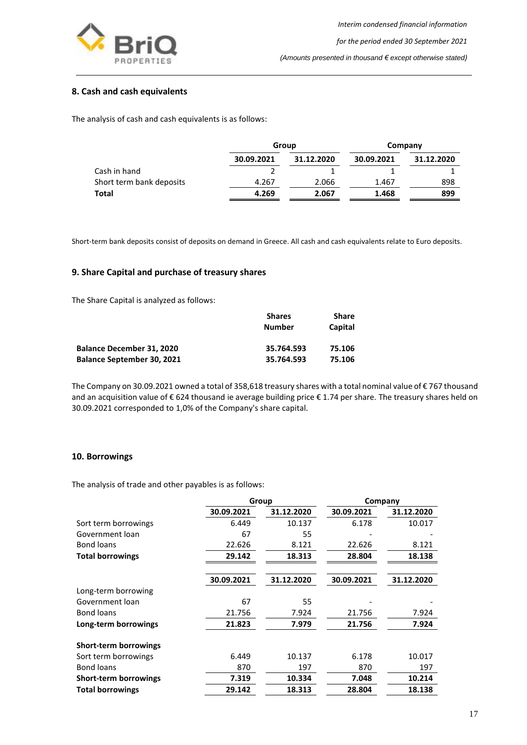

## <span id="page-17-0"></span>**8. Cash and cash equivalents**

The analysis of cash and cash equivalents is as follows:

|                          | Group      |            | Company    |            |
|--------------------------|------------|------------|------------|------------|
|                          | 30.09.2021 | 31.12.2020 | 30.09.2021 | 31.12.2020 |
| Cash in hand             |            |            |            |            |
| Short term bank deposits | 4.267      | 2.066      | 1.467      | 898        |
| Total                    | 4.269      | 2.067      | 1.468      | 899        |

Short-term bank deposits consist of deposits on demand in Greece. All cash and cash equivalents relate to Euro deposits.

## <span id="page-17-1"></span>**9. Share Capital and purchase of treasury shares**

The Share Capital is analyzed as follows:

|                                   | <b>Shares</b> | Share   |  |
|-----------------------------------|---------------|---------|--|
|                                   | <b>Number</b> | Capital |  |
| <b>Balance December 31, 2020</b>  | 35.764.593    | 75.106  |  |
| <b>Balance September 30, 2021</b> | 35.764.593    | 75.106  |  |

The Company on 30.09.2021 owned a total of 358,618 treasury shares with a total nominal value of € 767 thousand and an acquisition value of € 624 thousand ie average building price € 1.74 per share. The treasury shares held on 30.09.2021 corresponded to 1,0% of the Company's share capital.

#### <span id="page-17-2"></span>**10. Borrowings**

The analysis of trade and other payables is as follows:

| Group      |            | Company    |            |
|------------|------------|------------|------------|
| 30.09.2021 | 31.12.2020 | 30.09.2021 | 31.12.2020 |
| 6.449      | 10.137     | 6.178      | 10.017     |
| 67         | 55         |            |            |
| 22.626     | 8.121      | 22.626     | 8.121      |
| 29.142     | 18.313     | 28.804     | 18.138     |
|            |            |            |            |
| 30.09.2021 | 31.12.2020 | 30.09.2021 | 31.12.2020 |
|            |            |            |            |
| 67         | 55         |            |            |
| 21.756     | 7.924      | 21.756     | 7.924      |
| 21.823     | 7.979      | 21.756     | 7.924      |
|            |            |            |            |
| 6.449      | 10.137     | 6.178      | 10.017     |
| 870        | 197        | 870        | 197        |
| 7.319      | 10.334     | 7.048      | 10.214     |
| 29.142     | 18.313     | 28.804     | 18.138     |
|            |            |            |            |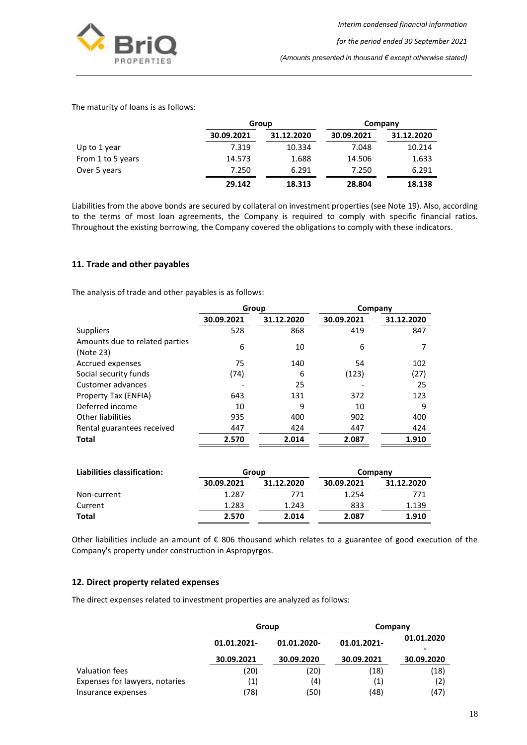

The maturity of loans is as follows:

|                   |            | Group      |            | Company    |
|-------------------|------------|------------|------------|------------|
|                   | 30.09.2021 | 31.12.2020 | 30.09.2021 | 31.12.2020 |
| Up to 1 year      | 7.319      | 10.334     | 7.048      | 10.214     |
| From 1 to 5 years | 14.573     | 1.688      | 14.506     | 1.633      |
| Over 5 years      | 7.250      | 6.291      | 7.250      | 6.291      |
|                   | 29.142     | 18.313     | 28.804     | 18.138     |

Liabilities from the above bonds are secured by collateral on investment properties (see Note 19). Also, according to the terms of most loan agreements, the Company is required to comply with specific financial ratios. Throughout the existing borrowing, the Company covered the obligations to comply with these indicators.

## <span id="page-18-0"></span>**11. Trade and other payables**

The analysis of trade and other payables is as follows:

|                                             | Group      |            |            | Company    |
|---------------------------------------------|------------|------------|------------|------------|
|                                             | 30.09.2021 | 31.12.2020 | 30.09.2021 | 31.12.2020 |
| <b>Suppliers</b>                            | 528        | 868        | 419        | 847        |
| Amounts due to related parties<br>(Note 23) | 6          | 10         | 6          |            |
| Accrued expenses                            | 75         | 140        | 54         | 102        |
| Social security funds                       | (74)       | 6          | (123)      | (27)       |
| Customer advances                           |            | 25         |            | 25         |
| Property Tax (ENFIA)                        | 643        | 131        | 372        | 123        |
| Deferred income                             | 10         | 9          | 10         | 9          |
| <b>Other liabilities</b>                    | 935        | 400        | 902        | 400        |
| Rental guarantees received                  | 447        | 424        | 447        | 424        |
| Total                                       | 2.570      | 2.014      | 2.087      | 1.910      |

| Liabilities classification: | Group      |            |            | Company    |
|-----------------------------|------------|------------|------------|------------|
|                             | 30.09.2021 | 31.12.2020 | 30.09.2021 | 31.12.2020 |
| Non-current                 | 1.287      | 771        | 1.254      | 771        |
| Current                     | 1.283      | 1.243      | 833        | 1.139      |
| Total                       | 2.570      | 2.014      | 2.087      | 1.910      |

Other liabilities include an amount of € 806 thousand which relates to a guarantee of good execution of the Company's property under construction in Aspropyrgos.

## <span id="page-18-1"></span>**12. Direct property related expenses**

The direct expenses related to investment properties are analyzed as follows:

|                                | Group                     |             | Company     |                    |  |
|--------------------------------|---------------------------|-------------|-------------|--------------------|--|
|                                | 01.01.2021-<br>30.09.2021 | 01.01.2020- | 01.01.2021- | 01.01.2020<br>$\,$ |  |
|                                |                           | 30.09.2020  | 30.09.2021  | 30.09.2020         |  |
| Valuation fees                 | (20)                      | (20)        | (18)        | (18)               |  |
| Expenses for lawyers, notaries | (1)                       | (4)         | (1)         | (2)                |  |
| Insurance expenses             | (78)                      | (50)        | (48)        | (47)               |  |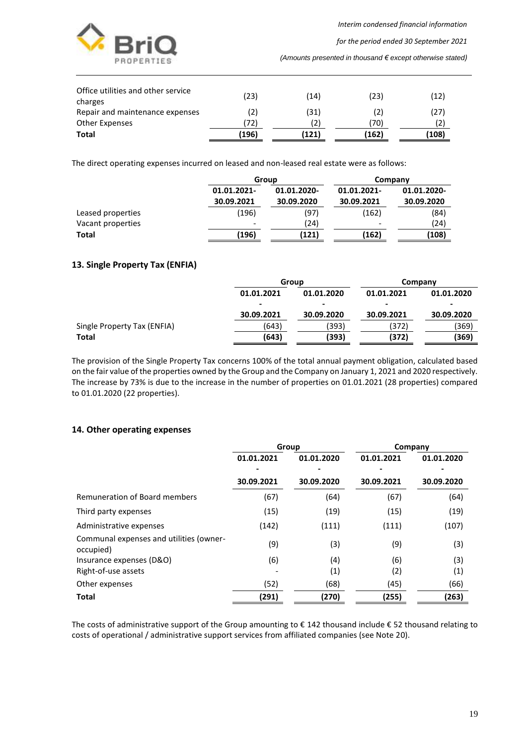

*for the period ended 30 September 2021*

*(Amounts presented in thousand € except otherwise stated)*

| Office utilities and other service<br>charges | (23)  | (14)  | (23)  | (12)  |
|-----------------------------------------------|-------|-------|-------|-------|
| Repair and maintenance expenses               | (2)   | (31)  | (2)   | (27)  |
| <b>Other Expenses</b>                         | (72)  | 2)    | (70)  | (2)   |
| Total                                         | (196) | (121) | (162) | (108) |

The direct operating expenses incurred on leased and non-leased real estate were as follows:

|                   | Group                     |                           |                           | Company                   |
|-------------------|---------------------------|---------------------------|---------------------------|---------------------------|
|                   | 01.01.2021-<br>30.09.2021 | 01.01.2020-<br>30.09.2020 | 01.01.2021-<br>30.09.2021 | 01.01.2020-<br>30.09.2020 |
|                   |                           |                           |                           |                           |
| Leased properties | (196)                     | (97)                      | (162)                     | (84)                      |
| Vacant properties |                           | (24)                      | ٠                         | (24)                      |
| Total             | (196)                     | (121)                     | (162)                     | (108)                     |

## <span id="page-19-0"></span>**13. Single Property Tax (ENFIA)**

|                             | Group      |            | Company                  |            |
|-----------------------------|------------|------------|--------------------------|------------|
|                             | 01.01.2021 | 01.01.2020 | 01.01.2021               | 01.01.2020 |
|                             |            |            | $\overline{\phantom{0}}$ |            |
|                             | 30.09.2021 | 30.09.2020 | 30.09.2021               | 30.09.2020 |
| Single Property Tax (ENFIA) | (643)      | (393)      | (372)                    | (369)      |
| Total                       | (643)      | (393)      | (372)                    | (369)      |

The provision of the Single Property Tax concerns 100% of the total annual payment obligation, calculated based on the fair value of the properties owned by the Group and the Company on January 1, 2021 and 2020 respectively. The increase by 73% is due to the increase in the number of properties on 01.01.2021 (28 properties) compared to 01.01.2020 (22 properties).

#### <span id="page-19-1"></span>**14. Other operating expenses**

|                                                      | Group      |            | Company    |            |
|------------------------------------------------------|------------|------------|------------|------------|
|                                                      | 01.01.2021 | 01.01.2020 | 01.01.2021 | 01.01.2020 |
|                                                      | 30.09.2021 | 30.09.2020 | 30.09.2021 | 30.09.2020 |
| Remuneration of Board members                        | (67)       | (64)       | (67)       | (64)       |
| Third party expenses                                 | (15)       | (19)       | (15)       | (19)       |
| Administrative expenses                              | (142)      | (111)      | (111)      | (107)      |
| Communal expenses and utilities (owner-<br>occupied) | (9)        | (3)        | (9)        | (3)        |
| Insurance expenses (D&O)                             | (6)        | (4)        | (6)        | (3)        |
| Right-of-use assets                                  |            | (1)        | (2)        | (1)        |
| Other expenses                                       | (52)       | (68)       | (45)       | (66)       |
| Total                                                | (291)      | (270)      | (255)      | (263)      |

The costs of administrative support of the Group amounting to € 142 thousand include € 52 thousand relating to costs of operational / administrative support services from affiliated companies (see Note 20).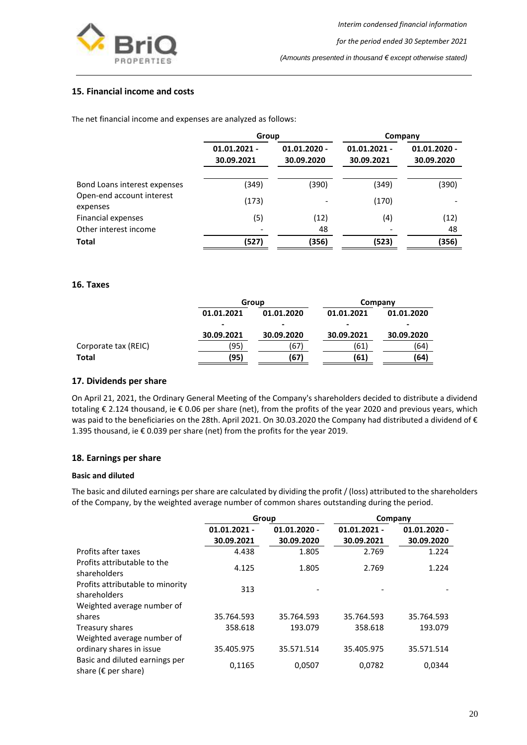

## <span id="page-20-0"></span>**15. Financial income and costs**

The net financial income and expenses are analyzed as follows:

|                                       | Group                        |                              | Company                      |                              |
|---------------------------------------|------------------------------|------------------------------|------------------------------|------------------------------|
|                                       | $01.01.2021 -$<br>30.09.2021 | $01.01.2020 -$<br>30.09.2020 | $01.01.2021 -$<br>30.09.2021 | $01.01.2020 -$<br>30.09.2020 |
| Bond Loans interest expenses          | (349)                        | (390)                        | (349)                        | (390)                        |
| Open-end account interest<br>expenses | (173)                        |                              | (170)                        |                              |
| Financial expenses                    | (5)                          | (12)                         | (4)                          | (12)                         |
| Other interest income                 |                              | 48                           |                              | 48                           |
| <b>Total</b>                          | (527)                        | (356)                        | (523)                        | (356)                        |

#### <span id="page-20-1"></span>**16. Taxes**

|                      |            | Group      |            | Company    |  |
|----------------------|------------|------------|------------|------------|--|
|                      | 01.01.2021 | 01.01.2020 | 01.01.2021 | 01.01.2020 |  |
|                      | -          | -          |            | -          |  |
|                      | 30.09.2021 | 30.09.2020 | 30.09.2021 | 30.09.2020 |  |
| Corporate tax (REIC) | (95)       | (67)       | (61)       | (64)       |  |
| <b>Total</b>         | (95)       | (67)       | (61)       | (64)       |  |

#### <span id="page-20-2"></span>**17. Dividends per share**

On April 21, 2021, the Ordinary General Meeting of the Company's shareholders decided to distribute a dividend totaling € 2.124 thousand, ie € 0.06 per share (net), from the profits of the year 2020 and previous years, which was paid to the beneficiaries on the 28th. April 2021. On 30.03.2020 the Company had distributed a dividend of € 1.395 thousand, ie € 0.039 per share (net) from the profits for the year 2019.

#### <span id="page-20-3"></span>**18. Earnings per share**

#### **Basic and diluted**

The basic and diluted earnings per share are calculated by dividing the profit / (loss) attributed to the shareholders of the Company, by the weighted average number of common shares outstanding during the period.

|                                                                 | Group                        |                              | Company                      |                              |
|-----------------------------------------------------------------|------------------------------|------------------------------|------------------------------|------------------------------|
|                                                                 | $01.01.2021 -$<br>30.09.2021 | $01.01.2020 -$<br>30.09.2020 | $01.01.2021 -$<br>30.09.2021 | $01.01.2020 -$<br>30.09.2020 |
| Profits after taxes                                             | 4.438                        | 1.805                        | 2.769                        | 1.224                        |
| Profits attributable to the<br>shareholders                     | 4.125                        | 1.805                        | 2.769                        | 1.224                        |
| Profits attributable to minority<br>shareholders                | 313                          |                              |                              |                              |
| Weighted average number of                                      |                              |                              |                              |                              |
| shares                                                          | 35.764.593                   | 35.764.593                   | 35.764.593                   | 35.764.593                   |
| Treasury shares                                                 | 358.618                      | 193.079                      | 358.618                      | 193.079                      |
| Weighted average number of                                      |                              |                              |                              |                              |
| ordinary shares in issue                                        | 35.405.975                   | 35.571.514                   | 35.405.975                   | 35.571.514                   |
| Basic and diluted earnings per<br>share ( $\epsilon$ per share) | 0,1165                       | 0,0507                       | 0,0782                       | 0,0344                       |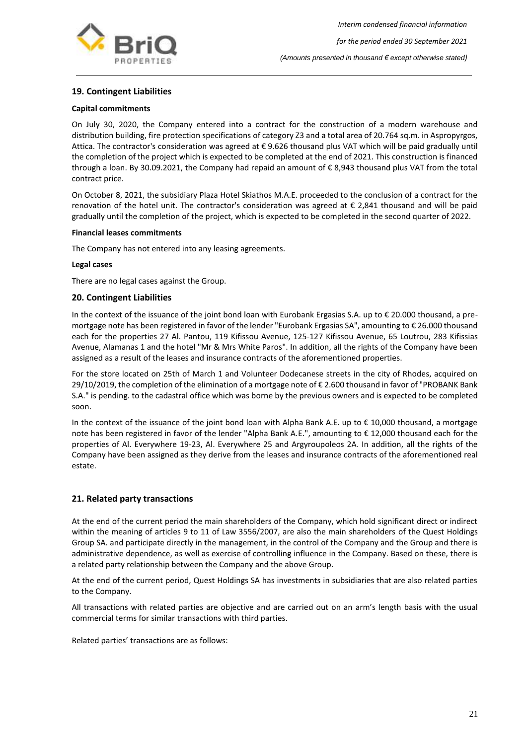

## <span id="page-21-0"></span>**19. Contingent Liabilities**

#### **Capital commitments**

On July 30, 2020, the Company entered into a contract for the construction of a modern warehouse and distribution building, fire protection specifications of category Z3 and a total area of 20.764 sq.m. in Aspropyrgos, Attica. The contractor's consideration was agreed at € 9.626 thousand plus VAT which will be paid gradually until the completion of the project which is expected to be completed at the end of 2021. This construction is financed through a loan. By 30.09.2021, the Company had repaid an amount of € 8,943 thousand plus VAT from the total contract price.

On October 8, 2021, the subsidiary Plaza Hotel Skiathos M.A.E. proceeded to the conclusion of a contract for the renovation of the hotel unit. The contractor's consideration was agreed at € 2,841 thousand and will be paid gradually until the completion of the project, which is expected to be completed in the second quarter of 2022.

#### **Financial leases commitments**

The Company has not entered into any leasing agreements.

#### **Legal cases**

There are no legal cases against the Group.

#### <span id="page-21-1"></span>**20. Contingent Liabilities**

In the context of the issuance of the joint bond loan with Eurobank Ergasias S.A. up to € 20.000 thousand, a premortgage note has been registered in favor of the lender "Eurobank Ergasias SA", amounting to € 26.000 thousand each for the properties 27 Al. Pantou, 119 Kifissou Avenue, 125-127 Kifissou Avenue, 65 Loutrou, 283 Kifissias Avenue, Alamanas 1 and the hotel "Mr & Mrs White Paros". In addition, all the rights of the Company have been assigned as a result of the leases and insurance contracts of the aforementioned properties.

For the store located on 25th of March 1 and Volunteer Dodecanese streets in the city of Rhodes, acquired on 29/10/2019, the completion of the elimination of a mortgage note of € 2.600 thousand in favor of "PROBANK Bank S.A." is pending. to the cadastral office which was borne by the previous owners and is expected to be completed soon.

In the context of the issuance of the joint bond loan with Alpha Bank A.E. up to € 10,000 thousand, a mortgage note has been registered in favor of the lender "Alpha Bank A.E.", amounting to € 12,000 thousand each for the properties of Al. Everywhere 19-23, Al. Everywhere 25 and Argyroupoleos 2A. In addition, all the rights of the Company have been assigned as they derive from the leases and insurance contracts of the aforementioned real estate.

## <span id="page-21-2"></span>**21. Related party transactions**

At the end of the current period the main shareholders of the Company, which hold significant direct or indirect within the meaning of articles 9 to 11 of Law 3556/2007, are also the main shareholders of the Quest Holdings Group SA. and participate directly in the management, in the control of the Company and the Group and there is administrative dependence, as well as exercise of controlling influence in the Company. Based on these, there is a related party relationship between the Company and the above Group.

At the end of the current period, Quest Holdings SA has investments in subsidiaries that are also related parties to the Company.

All transactions with related parties are objective and are carried out on an arm's length basis with the usual commercial terms for similar transactions with third parties.

Related parties' transactions are as follows: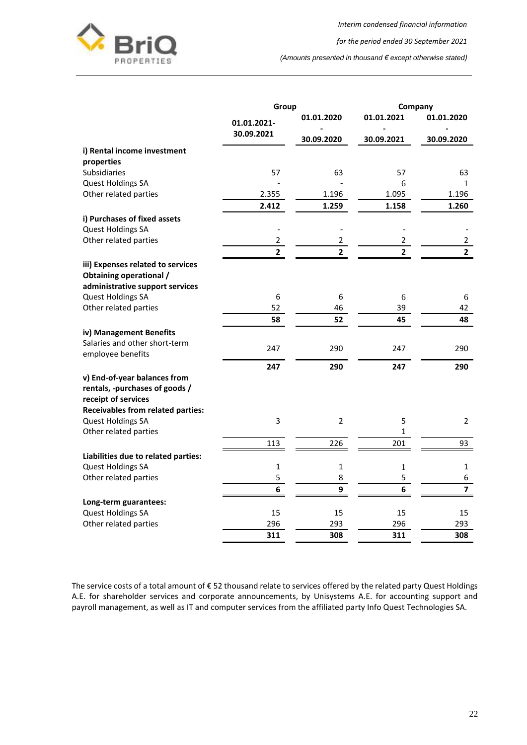

*for the period ended 30 September 2021*

*(Amounts presented in thousand € except otherwise stated)*

|                                          | Group          |                | Company        |                |
|------------------------------------------|----------------|----------------|----------------|----------------|
|                                          | 01.01.2021-    | 01.01.2020     | 01.01.2021     | 01.01.2020     |
|                                          | 30.09.2021     | 30.09.2020     | 30.09.2021     | 30.09.2020     |
| i) Rental income investment              |                |                |                |                |
| properties                               |                |                |                |                |
| <b>Subsidiaries</b>                      | 57             | 63             | 57             | 63             |
| Quest Holdings SA                        |                |                | 6              | 1              |
| Other related parties                    | 2.355          | 1.196          | 1.095          | 1.196          |
|                                          | 2.412          | 1.259          | 1.158          | 1.260          |
| i) Purchases of fixed assets             |                |                |                |                |
| Quest Holdings SA                        |                |                |                |                |
| Other related parties                    | 2              | 2              | 2              | $\overline{2}$ |
|                                          | $\overline{2}$ | 2              | $\overline{2}$ | $\overline{2}$ |
| iii) Expenses related to services        |                |                |                |                |
| Obtaining operational /                  |                |                |                |                |
| administrative support services          |                |                |                |                |
| Quest Holdings SA                        | 6              | 6              | 6              | 6              |
| Other related parties                    | 52             | 46             | 39             | 42             |
|                                          | 58             | 52             | 45             | 48             |
| iv) Management Benefits                  |                |                |                |                |
| Salaries and other short-term            |                |                |                |                |
| employee benefits                        | 247            | 290            | 247            | 290            |
|                                          | 247            | 290            | 247            | 290            |
| v) End-of-year balances from             |                |                |                |                |
| rentals, -purchases of goods /           |                |                |                |                |
| receipt of services                      |                |                |                |                |
| <b>Receivables from related parties:</b> |                |                |                |                |
| <b>Quest Holdings SA</b>                 | 3              | $\overline{2}$ | 5              | $\overline{2}$ |
| Other related parties                    |                |                | 1              |                |
|                                          | 113            | 226            | 201            | 93             |
| Liabilities due to related parties:      |                |                |                |                |
| Quest Holdings SA                        | $\mathbf{1}$   | $\mathbf{1}$   | 1              | $\mathbf 1$    |
| Other related parties                    | 5              | 8              | 5              | 6              |
|                                          | 6              | 9              | 6              | $\overline{7}$ |
| Long-term guarantees:                    |                |                |                |                |
| <b>Quest Holdings SA</b>                 | 15             | 15             | 15             | 15             |
| Other related parties                    | 296            | 293            | 296            | 293            |
|                                          | 311            | 308            | 311            | 308            |

The service costs of a total amount of € 52 thousand relate to services offered by the related party Quest Holdings A.E. for shareholder services and corporate announcements, by Unisystems A.E. for accounting support and payroll management, as well as IT and computer services from the affiliated party Info Quest Technologies SA.